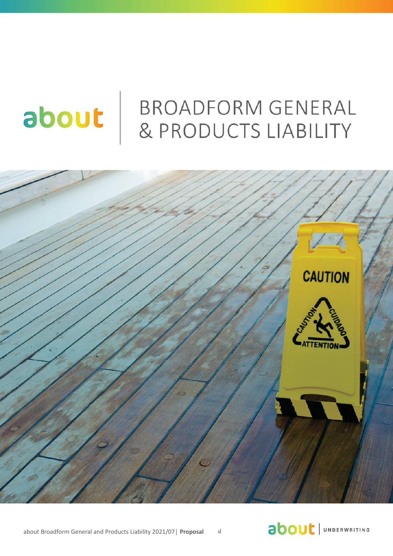# about

# **BROADFORM GENERAL & PRODUCTS LIABILITY**



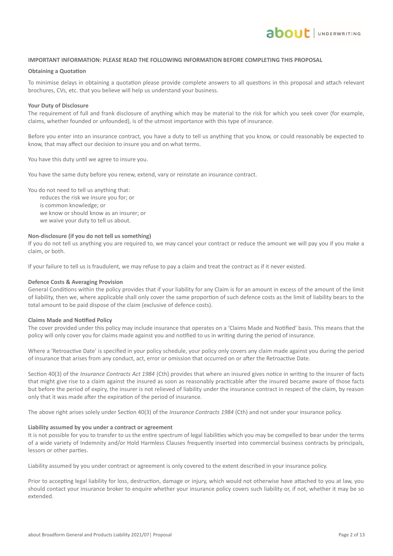

#### **IMPORTANT INFORMATION: PLEASE READ THE FOLLOWING INFORMATION BEFORE COMPLETING THIS PROPOSAL**

#### **Obtaining a Quotation**

To minimise delays in obtaining a quotation please provide complete answers to all questions in this proposal and attach relevant brochures, CVs, etc. that you believe will help us understand your business.

#### **Your Duty of Disclosure**

The requirement of full and frank disclosure of anything which may be material to the risk for which you seek cover (for example, claims, whether founded or unfounded), is of the utmost importance with this type of insurance.

Before you enter into an insurance contract, you have a duty to tell us anything that you know, or could reasonably be expected to know, that may affect our decision to insure you and on what terms.

You have this duty until we agree to insure you.

You have the same duty before you renew, extend, vary or reinstate an insurance contract.

You do not need to tell us anything that:

reduces the risk we insure you for; or is common knowledge; or we know or should know as an insurer; or we waive your duty to tell us about.

#### **Non-disclosure (if you do not tell us something)**

If you do not tell us anything you are required to, we may cancel your contract or reduce the amount we will pay you if you make a claim, or both.

If your failure to tell us is fraudulent, we may refuse to pay a claim and treat the contract as if it never existed.

#### **Defence Costs & Averaging Provision**

General Conditions within the policy provides that if your liability for any Claim is for an amount in excess of the amount of the limit of liability, then we, where applicable shall only cover the same proportion of such defence costs as the limit of liability bears to the total amount to be paid dispose of the claim (exclusive of defence costs).

#### **Claims Made and Notified Policy**

The cover provided under this policy may include insurance that operates on a 'Claims Made and Notified' basis. This means that the policy will only cover you for claims made against you and notified to us in writing during the period of insurance.

Where a 'Retroactive Date' is specified in your policy schedule, your policy only covers any claim made against you during the period of insurance that arises from any conduct, act, error or omission that occurred on or after the Retroactive Date.

Section 40(3) of the *Insurance Contracts Act 1984* (Cth) provides that where an insured gives notice in writing to the insurer of facts that might give rise to a claim against the insured as soon as reasonably practicable after the insured became aware of those facts but before the period of expiry, the insurer is not relieved of liability under the insurance contract in respect of the claim, by reason only that it was made after the expiration of the period of insurance.

The above right arises solely under Section 40(3) of the *Insurance Contracts 1984* (Cth) and not under your insurance policy.

#### **Liability assumed by you under a contract or agreement**

It is not possible for you to transfer to us the entire spectrum of legal liabilities which you may be compelled to bear under the terms of a wide variety of Indemnity and/or Hold Harmless Clauses frequently inserted into commercial business contracts by principals, lessors or other parties.

Liability assumed by you under contract or agreement is only covered to the extent described in your insurance policy.

Prior to accepting legal liability for loss, destruction, damage or injury, which would not otherwise have attached to you at law, you should contact your insurance broker to enquire whether your insurance policy covers such liability or, if not, whether it may be so extended.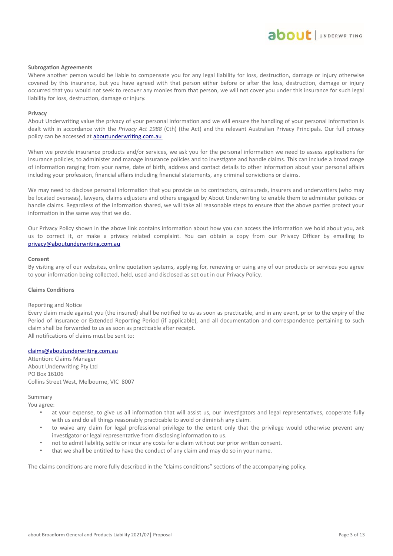#### **Subrogation Agreements**

Where another person would be liable to compensate you for any legal liability for loss, destruction, damage or injury otherwise covered by this insurance, but you have agreed with that person either before or after the loss, destruction, damage or injury occurred that you would not seek to recover any monies from that person, we will not cover you under this insurance for such legal liability for loss, destruction, damage or injury.

#### **Privacy**

About Underwriting value the privacy of your personal information and we will ensure the handling of your personal information is dealt with in accordance with the *Privacy Act 1988* (Cth) (the Act) and the relevant Australian Privacy Principals. Our full privacy policy can be accessed at **aboutunderwriting.com.au** 

When we provide insurance products and/or services, we ask you for the personal information we need to assess applications for insurance policies, to administer and manage insurance policies and to investigate and handle claims. This can include a broad range of information ranging from your name, date of birth, address and contact details to other information about your personal affairs including your profession, financial affairs including financial statements, any criminal convictions or claims.

We may need to disclose personal information that you provide us to contractors, coinsureds, insurers and underwriters (who may be located overseas), lawyers, claims adjusters and others engaged by About Underwriting to enable them to administer policies or handle claims. Regardless of the information shared, we will take all reasonable steps to ensure that the above parties protect your information in the same way that we do.

Our Privacy Policy shown in the above link contains information about how you can access the information we hold about you, ask us to correct it, or make a privacy related complaint. You can obtain a copy from our Privacy Officer by emailing to [privacy@aboutunderwriting.com.au](mailto:privacy@aboutunderwriting.com.au)

#### **Consent**

By visiting any of our websites, online quotation systems, applying for, renewing or using any of our products or services you agree to your information being collected, held, used and disclosed as set out in our Privacy Policy.

#### **Claims Conditions**

#### Reporting and Notice

Every claim made against you (the insured) shall be notified to us as soon as practicable, and in any event, prior to the expiry of the Period of Insurance or Extended Reporting Period (if applicable), and all documentation and correspondence pertaining to such claim shall be forwarded to us as soon as practicable after receipt. All notifications of claims must be sent to:

#### claims@aboutunderwriting.com.au

Attention: Claims Manager About Underwriting Pty Ltd PO Box 16106 Collins Street West, Melbourne, VIC 8007

#### Summary

You agree:

- at your expense, to give us all information that will assist us, our investigators and legal representatives, cooperate fully with us and do all things reasonably practicable to avoid or diminish any claim.
- to waive any claim for legal professional privilege to the extent only that the privilege would otherwise prevent any investigator or legal representative from disclosing information to us.
- not to admit liability, settle or incur any costs for a claim without our prior written consent.
- that we shall be entitled to have the conduct of any claim and may do so in your name.

The claims conditions are more fully described in the "claims conditions" sections of the accompanying policy.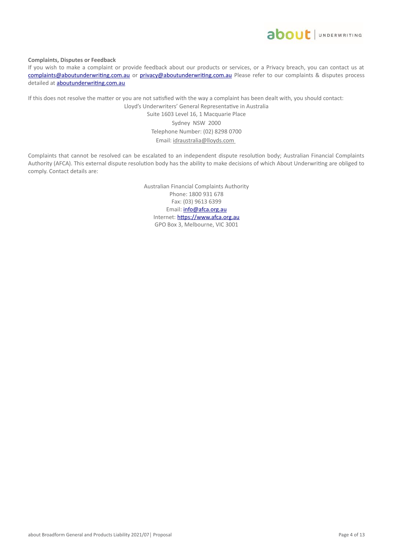

**Complaints, Disputes or Feedback**

If you wish to make a complaint or provide feedback about our products or services, or a Privacy breach, you can contact us at complaints@aboutunderwriting.com.au or privacy@aboutunderwriting.com.au Please refer to our complaints & disputes process detailed at **aboutunderwriting.com.au** 

If this does not resolve the matter or you are not satisfied with the way a complaint has been dealt with, you should contact:

Lloyd's Underwriters' General Representative in Australia Suite 1603 Level 16, 1 Macquarie Place Sydney NSW 2000 Telephone Number: (02) 8298 0700 Email: idraustralia@lloyds.com

Complaints that cannot be resolved can be escalated to an independent dispute resolution body; Australian Financial Complaints Authority (AFCA). This external dispute resolution body has the ability to make decisions of which About Underwriting are obliged to comply. Contact details are:

> Australian Financial Complaints Authority Phone: 1800 931 678 Fax: (03) 9613 6399 Email: info@afca.org.au Internet: https://www.afca.org.au GPO Box 3, Melbourne, VIC 3001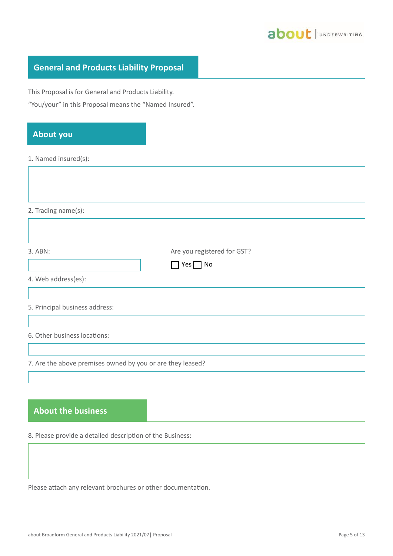

## **General and Products Liability Proposal**

This Proposal is for General and Products Liability.

"You/your" in this Proposal means the "Named Insured".

## **About you**

1. Named insured(s):

2. Trading name(s):

| 3. ABN:                        | Are you registered for GST?<br>$\Box$ Yes $\Box$ No |
|--------------------------------|-----------------------------------------------------|
| 4. Web address(es):            |                                                     |
| 5. Principal business address: |                                                     |
| 6. Other business locations:   |                                                     |

7. Are the above premises owned by you or are they leased?

## **About the business**

8. Please provide a detailed description of the Business:

Please attach any relevant brochures or other documentation.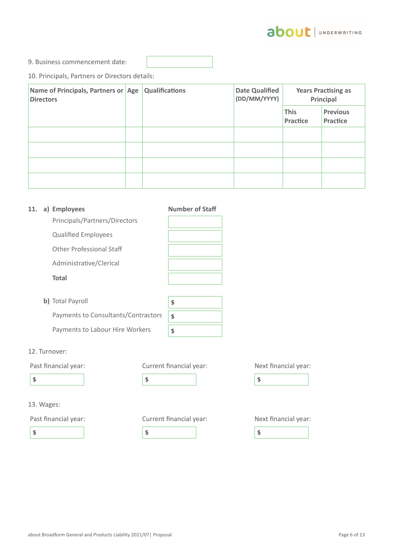

9. Business commencement date:

10. Principals, Partners or Directors details:

| Name of Principals, Partners or Age<br><b>Directors</b> | <b>Qualifications</b> | <b>Date Qualified</b><br>(DD/MM/YYYY) |                         | <b>Years Practising as</b><br>Principal |
|---------------------------------------------------------|-----------------------|---------------------------------------|-------------------------|-----------------------------------------|
|                                                         |                       |                                       | <b>This</b><br>Practice | <b>Previous</b><br>Practice             |
|                                                         |                       |                                       |                         |                                         |
|                                                         |                       |                                       |                         |                                         |
|                                                         |                       |                                       |                         |                                         |
|                                                         |                       |                                       |                         |                                         |

| 11. | a) Employees                        | <b>Number of Staff</b> |
|-----|-------------------------------------|------------------------|
|     | Principals/Partners/Directors       |                        |
|     | <b>Qualified Employees</b>          |                        |
|     | Other Professional Staff            |                        |
|     | Administrative/Clerical             |                        |
|     | <b>Total</b>                        |                        |
|     | b) Total Payroll                    | \$                     |
|     | Payments to Consultants/Contractors | \$                     |
|     | Payments to Labour Hire Workers     | \$                     |

12. Turnover:

13. Wages:

Past financial year: Current financial year: Next financial year:

 $\bullet$   $\bullet$   $\bullet$   $\bullet$   $\bullet$   $\bullet$ 

## Past financial year: Current financial year: Next financial year:

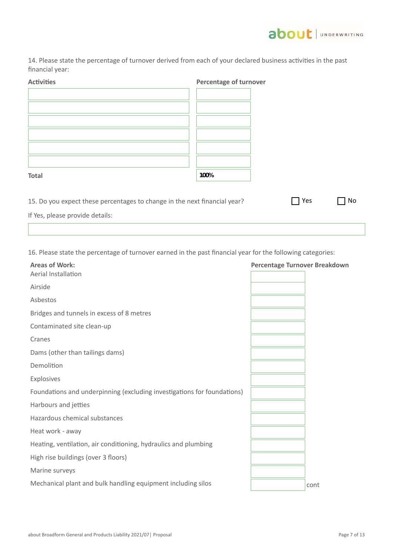

14. Please state the percentage of turnover derived from each of your declared business activities in the past financial year:

| <b>Activities</b>                                                         | Percentage of turnover |     |    |
|---------------------------------------------------------------------------|------------------------|-----|----|
|                                                                           |                        |     |    |
|                                                                           |                        |     |    |
|                                                                           |                        |     |    |
|                                                                           |                        |     |    |
|                                                                           |                        |     |    |
|                                                                           |                        |     |    |
|                                                                           |                        |     |    |
| <b>Total</b>                                                              | 100%                   |     |    |
|                                                                           |                        |     |    |
| 15. Do you expect these percentages to change in the next financial year? |                        | Yes | No |
| If Yes, please provide details:                                           |                        |     |    |
|                                                                           |                        |     |    |

16. Please state the percentage of turnover earned in the past financial year for the following categories:

| <b>Areas of Work:</b><br>Aerial Installation                            | <b>Percentage Turnover Breakdown</b> |
|-------------------------------------------------------------------------|--------------------------------------|
| Airside                                                                 |                                      |
| Asbestos                                                                |                                      |
| Bridges and tunnels in excess of 8 metres                               |                                      |
| Contaminated site clean-up                                              |                                      |
| Cranes                                                                  |                                      |
| Dams (other than tailings dams)                                         |                                      |
| Demolition                                                              |                                      |
| Explosives                                                              |                                      |
| Foundations and underpinning (excluding investigations for foundations) |                                      |
| Harbours and jetties                                                    |                                      |
| Hazardous chemical substances                                           |                                      |
| Heat work - away                                                        |                                      |
| Heating, ventilation, air conditioning, hydraulics and plumbing         |                                      |
| High rise buildings (over 3 floors)                                     |                                      |
| Marine surveys                                                          |                                      |
| Mechanical plant and bulk handling equipment including silos            | cont                                 |
|                                                                         |                                      |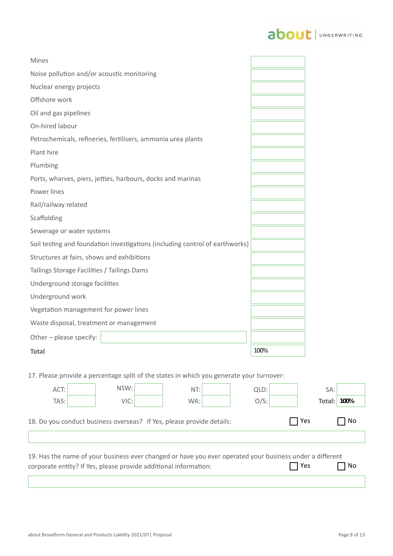# about | UNDERWRITING

| <b>Mines</b>                                                                 |      |
|------------------------------------------------------------------------------|------|
| Noise pollution and/or acoustic monitoring                                   |      |
| Nuclear energy projects                                                      |      |
| Offshore work                                                                |      |
| Oil and gas pipelines                                                        |      |
| On-hired labour                                                              |      |
| Petrochemicals, refineries, fertilisers, ammonia urea plants                 |      |
| Plant hire                                                                   |      |
| Plumbing                                                                     |      |
| Ports, wharves, piers, jetties, harbours, docks and marinas                  |      |
| Power lines                                                                  |      |
| Rail/railway related                                                         |      |
| Scaffolding                                                                  |      |
| Sewerage or water systems                                                    |      |
| Soil testing and foundation investigations (including control of earthworks) |      |
| Structures at fairs, shows and exhibitions                                   |      |
| Tailings Storage Facilities / Tailings Dams                                  |      |
| Underground storage facilities                                               |      |
| Underground work                                                             |      |
| Vegetation management for power lines                                        |      |
| Waste disposal, treatment or management                                      |      |
| Other - please specify:                                                      |      |
| <b>Total</b>                                                                 | 100% |

17. Please provide a percentage split of the states in which you generate your turnover:

| ACT:                                                                                                                                                                                        |  | NSW: |  | NT:                                                                   |  | QLD:    |  | SA:    |      |
|---------------------------------------------------------------------------------------------------------------------------------------------------------------------------------------------|--|------|--|-----------------------------------------------------------------------|--|---------|--|--------|------|
| TAS:                                                                                                                                                                                        |  | VIC: |  | WA:                                                                   |  | $O/S$ : |  | Total: | 100% |
|                                                                                                                                                                                             |  |      |  | 18. Do you conduct business overseas? If Yes, please provide details: |  |         |  | Yes    | No   |
|                                                                                                                                                                                             |  |      |  |                                                                       |  |         |  |        |      |
| 19. Has the name of your business ever changed or have you ever operated your business under a different<br>  Yes<br>No<br>corporate entity? If Yes, please provide additional information: |  |      |  |                                                                       |  |         |  |        |      |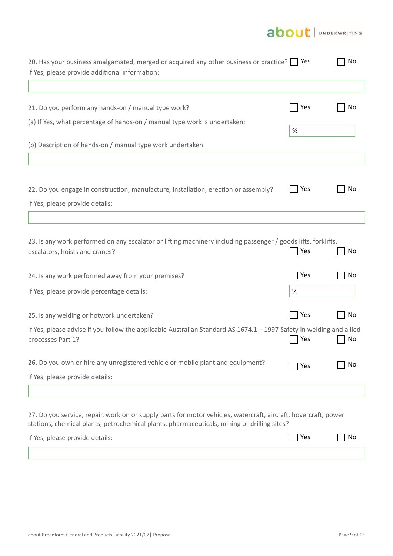

| 20. Has your business amalgamated, merged or acquired any other business or practice?   Yes<br>If Yes, please provide additional information:                                                                  |                              | No |
|----------------------------------------------------------------------------------------------------------------------------------------------------------------------------------------------------------------|------------------------------|----|
| 21. Do you perform any hands-on / manual type work?                                                                                                                                                            | Yes                          | Νo |
| (a) If Yes, what percentage of hands-on / manual type work is undertaken:                                                                                                                                      | %                            |    |
| (b) Description of hands-on / manual type work undertaken:                                                                                                                                                     |                              |    |
| 22. Do you engage in construction, manufacture, installation, erection or assembly?<br>If Yes, please provide details:                                                                                         | Yes                          | No |
|                                                                                                                                                                                                                |                              |    |
| 23. Is any work performed on any escalator or lifting machinery including passenger / goods lifts, forklifts,<br>escalators, hoists and cranes?                                                                | Yes                          | No |
| 24. Is any work performed away from your premises?                                                                                                                                                             | Yes                          | No |
| If Yes, please provide percentage details:                                                                                                                                                                     | $\%$                         |    |
| 25. Is any welding or hotwork undertaken?                                                                                                                                                                      | $\overline{\phantom{a}}$ Yes | No |
| If Yes, please advise if you follow the applicable Australian Standard AS 1674.1 - 1997 Safety in welding and allied<br>processes Part 1?                                                                      | Yes                          | No |
| 26. Do you own or hire any unregistered vehicle or mobile plant and equipment?<br>If Yes, please provide details:                                                                                              | Yes                          | Νo |
|                                                                                                                                                                                                                |                              |    |
| 27. Do you service, repair, work on or supply parts for motor vehicles, watercraft, aircraft, hovercraft, power<br>stations, chemical plants, petrochemical plants, pharmaceuticals, mining or drilling sites? |                              |    |
| If Yes, please provide details:                                                                                                                                                                                | Yes                          | Νo |
|                                                                                                                                                                                                                |                              |    |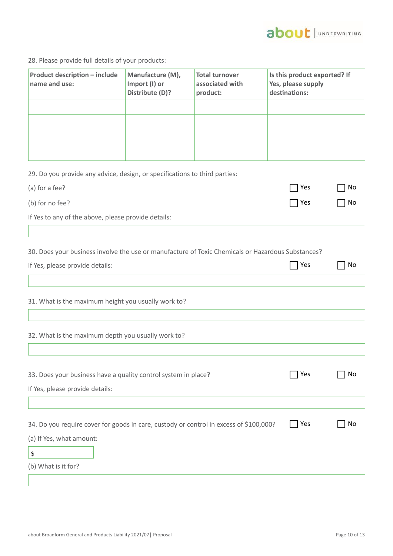

28. Please provide full details of your products:

| <b>Product description - include</b><br>name and use:                                                                                        | Manufacture (M),<br>Import (I) or<br>Distribute (D)? | <b>Total turnover</b><br>associated with<br>product: | Is this product exported? If<br>Yes, please supply<br>destinations: |    |
|----------------------------------------------------------------------------------------------------------------------------------------------|------------------------------------------------------|------------------------------------------------------|---------------------------------------------------------------------|----|
|                                                                                                                                              |                                                      |                                                      |                                                                     |    |
|                                                                                                                                              |                                                      |                                                      |                                                                     |    |
|                                                                                                                                              |                                                      |                                                      |                                                                     |    |
|                                                                                                                                              |                                                      |                                                      |                                                                     |    |
| 29. Do you provide any advice, design, or specifications to third parties:                                                                   |                                                      |                                                      |                                                                     |    |
| (a) for a fee?                                                                                                                               |                                                      |                                                      | Yes                                                                 | No |
| (b) for no fee?                                                                                                                              |                                                      |                                                      | Yes                                                                 | No |
|                                                                                                                                              |                                                      |                                                      |                                                                     |    |
| If Yes to any of the above, please provide details:                                                                                          |                                                      |                                                      |                                                                     |    |
| If Yes, please provide details:<br>31. What is the maximum height you usually work to?<br>32. What is the maximum depth you usually work to? |                                                      |                                                      | 7 Yes                                                               | No |
| 33. Does your business have a quality control system in place?<br>If Yes, please provide details:                                            |                                                      |                                                      | Yes                                                                 | No |
| 34. Do you require cover for goods in care, custody or control in excess of \$100,000?<br>(a) If Yes, what amount:<br>\$                     |                                                      |                                                      | Yes                                                                 | No |
| (b) What is it for?                                                                                                                          |                                                      |                                                      |                                                                     |    |
|                                                                                                                                              |                                                      |                                                      |                                                                     |    |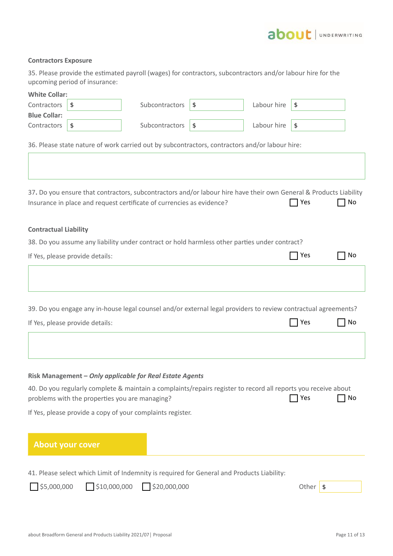## about JUNDERWRITING

#### **Contractors Exposure**

35. Please provide the estimated payroll (wages) for contractors, subcontractors and/or labour hire for the upcoming period of insurance:

| <b>White Collar:</b>         |                                 |                                                                                                                                                                                            |                   |                  |    |
|------------------------------|---------------------------------|--------------------------------------------------------------------------------------------------------------------------------------------------------------------------------------------|-------------------|------------------|----|
| Contractors                  | \$                              | Subcontractors                                                                                                                                                                             | \$<br>Labour hire | \$               |    |
| <b>Blue Collar:</b>          |                                 |                                                                                                                                                                                            |                   |                  |    |
| Contractors                  | \$                              | Subcontractors                                                                                                                                                                             | \$<br>Labour hire | $\sqrt{3}$       |    |
|                              |                                 | 36. Please state nature of work carried out by subcontractors, contractors and/or labour hire:                                                                                             |                   |                  |    |
|                              |                                 |                                                                                                                                                                                            |                   |                  |    |
|                              |                                 | 37. Do you ensure that contractors, subcontractors and/or labour hire have their own General & Products Liability<br>Insurance in place and request certificate of currencies as evidence? |                   | 7 Yes            | No |
| <b>Contractual Liability</b> |                                 |                                                                                                                                                                                            |                   |                  |    |
|                              |                                 | 38. Do you assume any liability under contract or hold harmless other parties under contract?                                                                                              |                   |                  |    |
|                              | If Yes, please provide details: |                                                                                                                                                                                            |                   | Yes              | No |
|                              |                                 |                                                                                                                                                                                            |                   |                  |    |
|                              |                                 |                                                                                                                                                                                            |                   |                  |    |
|                              |                                 | 39. Do you engage any in-house legal counsel and/or external legal providers to review contractual agreements?                                                                             |                   |                  |    |
|                              | If Yes, please provide details: |                                                                                                                                                                                            |                   | Yes              | No |
|                              |                                 |                                                                                                                                                                                            |                   |                  |    |
|                              |                                 | Risk Management - Only applicable for Real Estate Agents                                                                                                                                   |                   |                  |    |
|                              |                                 | 40. Do you regularly complete & maintain a complaints/repairs register to record all reports you receive about                                                                             |                   |                  |    |
|                              |                                 | problems with the properties you are managing?                                                                                                                                             |                   | Yes              | No |
|                              |                                 | If Yes, please provide a copy of your complaints register.                                                                                                                                 |                   |                  |    |
|                              |                                 |                                                                                                                                                                                            |                   |                  |    |
|                              | <b>About your cover</b>         |                                                                                                                                                                                            |                   |                  |    |
|                              |                                 |                                                                                                                                                                                            |                   |                  |    |
| \$5,000,000                  | $\Box$ \$10,000,000             | 41. Please select which Limit of Indemnity is required for General and Products Liability:<br>$\Box$ \$20,000,000                                                                          |                   | Other $\sqrt{s}$ |    |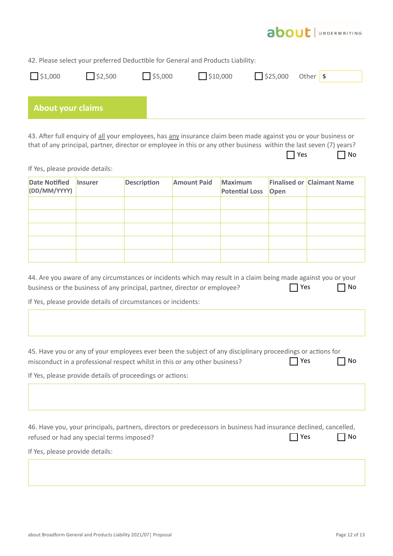

42. Please select your preferred Deductible for General and Products Liability:

| 51,000                   | $\bigcup$ \$2,500 | 5,000 | 510,000 | 525,000 | Other \$ |
|--------------------------|-------------------|-------|---------|---------|----------|
| <b>About your claims</b> |                   |       |         |         |          |
|                          |                   |       |         |         |          |

43. After full enquiry of all your employees, has any insurance claim been made against you or your business or that of any principal, partner, director or employee in this or any other business within the last seven (7) years?  $\Box$  No

|  | ×<br>۰.<br>۰. |
|--|---------------|
|--|---------------|

If Yes, please provide details:

| Date Notified Insurer<br>(DD/MM/YYYY) | <b>Description</b> | <b>Amount Paid</b> | <b>Maximum</b><br>Potential Loss   Open | <b>Finalised or Claimant Name</b> |
|---------------------------------------|--------------------|--------------------|-----------------------------------------|-----------------------------------|
|                                       |                    |                    |                                         |                                   |
|                                       |                    |                    |                                         |                                   |
|                                       |                    |                    |                                         |                                   |
|                                       |                    |                    |                                         |                                   |
|                                       |                    |                    |                                         |                                   |

| 44. Are you aware of any circumstances or incidents which may result in a claim being made against you or your |            |           |
|----------------------------------------------------------------------------------------------------------------|------------|-----------|
| business or the business of any principal, partner, director or employee?                                      | $\Box$ Yes | $\Box$ No |

If Yes, please provide details of circumstances or incidents:

| 45. Have you or any of your employees ever been the subject of any disciplinary proceedings or actions for |            |           |
|------------------------------------------------------------------------------------------------------------|------------|-----------|
| misconduct in a professional respect whilst in this or any other business?                                 | $\Box$ Yes | $\Box$ No |

If Yes, please provide details of proceedings or actions:

| 46. Have you, your principals, partners, directors or predecessors in business had insurance declined, cancelled, |            |           |
|-------------------------------------------------------------------------------------------------------------------|------------|-----------|
| refused or had any special terms imposed?                                                                         | $\Box$ Yes | $\Box$ No |
|                                                                                                                   |            |           |

If Yes, please provide details: